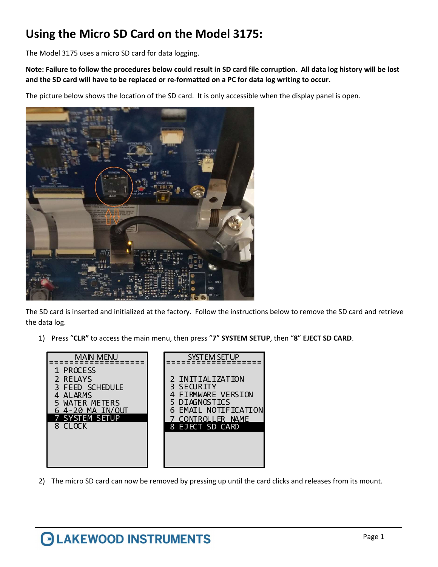## Using the Micro SD Card on the Model 3175:

The Model 3175 uses a micro SD card for data logging.

Note: Failure to follow the procedures below could result in SD card file corruption. All data log history will be lost and the SD card will have to be replaced or re-formatted on a PC for data log writing to occur.

The picture below shows the location of the SD card. It is only accessible when the display panel is open.



The SD card is inserted and initialized at the factory. Follow the instructions below to remove the SD card and retrieve the data log.

1) Press "CLR" to access the main menu, then press "7" SYSTEM SETUP, then "8" EJECT SD CARD.

| <b>MAIN MENU</b>                                                                                                                       | <b>SYSTEM SET UP</b>                                                                                                                   |
|----------------------------------------------------------------------------------------------------------------------------------------|----------------------------------------------------------------------------------------------------------------------------------------|
| 1 PROCESS<br>2 RELAYS<br>3 FEED SCHEDULE<br><b>ALARMS</b><br><b>WATER METERS</b><br>$4-20$ MA IN/OUT<br><b>SYSTEM SETUP</b><br>8 CLOCK | 2 INITIALIZATION<br>SEQURITY<br>FIRMWARE VERSION<br>5 DIAGNOSTICS<br><b>6 EMAIL NOTIFICATION</b><br>CONTROLLER NAME<br>8 EJECT SD CARD |

2) The micro SD card can now be removed by pressing up until the card clicks and releases from its mount.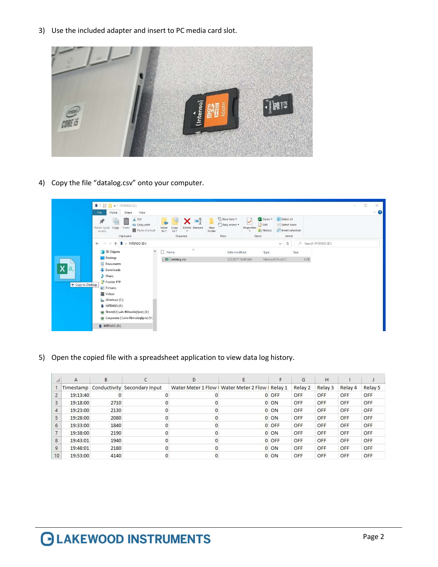3) Use the included adapter and insert to PC media card slot.



4) Copy the file "datalog.csv" onto your computer.

|                              | 812<br>$\blacktriangledown$   INTENSO (D:)<br>View<br>File<br>Share<br>Home                                                                                                                                                    |                                                                                              |                                                       |                                                                            |                                                                                                 |                     | O<br>$\times$<br>$\overline{\phantom{a}}$<br>$\hat{\phantom{a}}$ |
|------------------------------|--------------------------------------------------------------------------------------------------------------------------------------------------------------------------------------------------------------------------------|----------------------------------------------------------------------------------------------|-------------------------------------------------------|----------------------------------------------------------------------------|-------------------------------------------------------------------------------------------------|---------------------|------------------------------------------------------------------|
|                              | $\frac{1}{20}$ Cut<br>È<br>$\overline{\mathcal{R}}$<br><b>W</b> Copy path<br>Pin to Quick<br>Copy<br>Paste<br>Paste shortcut<br>access<br>Clipboard                                                                            | $\blacksquare$<br>×.<br>Delete Rename<br>Copy<br>Move<br>to<br>$to -$<br>$\cdot$<br>Organize | New item -<br>F Easy access *<br>New<br>folder<br>New | <b>Explored *</b><br>$\checkmark$<br>Fdit<br>Properties<br>History<br>Open | Select all<br>$\frac{\square\square}{\square\square}$ Select none<br>Invert selection<br>Select |                     |                                                                  |
|                              | $\blacktriangleright$ INTENSO (D:)<br>$\leftarrow$<br>v<br>$\rightarrow$                                                                                                                                                       |                                                                                              |                                                       |                                                                            | $\circ$<br>$\mathcal{D}$<br>v.                                                                  | Search INTENSO (D:) |                                                                  |
|                              | $\hat{\phantom{a}}$<br>3D Objects                                                                                                                                                                                              | $\wedge$<br>$\Box$ Name                                                                      | Date modified                                         | Type                                                                       | Size                                                                                            |                     |                                                                  |
| Х<br>a,<br>+ Copy to Desktop | Desktop<br>Documents<br>Downloads<br>Music<br>Passtec FTP<br>$=$ Pictures<br><b>W</b> Videos<br>Windows (C:)<br><b>B</b> INTENSO (D:)<br>Shared (\\win-lfbhvddq9pm) (X:)<br>Corporate (\\win-Ifbhvddq9pm) (Y:)<br>INTENSO (D:) | □□ datalog.csv                                                                               | 1/2/2017 10:45 AM                                     |                                                                            | Microsoft Excel C                                                                               | 4 KB                |                                                                  |

5) Open the copied file with a spreadsheet application to view data log history.

|                | A        | B    |                                        | D |                                                   |       | G       | H          |         |         |
|----------------|----------|------|----------------------------------------|---|---------------------------------------------------|-------|---------|------------|---------|---------|
|                |          |      | Timestamp Conductivity Secondary Input |   | Water Meter 1 Flow   Water Meter 2 Flow   Relay 1 |       | Relay 2 | Relay 3    | Relay 4 | Relay 5 |
|                | 19:13:40 |      |                                        |   |                                                   | 0 OFF | OFF     | OFF        | OFF     | OFF     |
| 3              | 19:18:00 | 2710 |                                        |   |                                                   | 0 ON  | OFF     | OFF        | OFF     | OFF     |
| 4              | 19:23:00 | 2130 |                                        |   |                                                   | 0 ON  | OFF     | OFF        | OFF     | OFF     |
| 5              | 19:28:00 | 2080 |                                        |   |                                                   | 0 ON  | OFF     | <b>OFF</b> | OFF     | OFF     |
| 6              | 19:33:00 | 1840 |                                        |   |                                                   | 0 OFF | OFF     | OFF        | OFF     | OFF     |
|                | 19:38:00 | 2190 |                                        |   |                                                   | 0 ON  | OFF     | <b>OFF</b> | OFF     | OFF     |
| 8              | 19:43:01 | 1940 |                                        |   |                                                   | 0 OFF | OFF     | OFF        | OFF     | OFF     |
| $\overline{9}$ | 19:48:01 | 2180 |                                        |   |                                                   | 0 ON  | OFF     | <b>OFF</b> | OFF     | OFF     |
| 10             | 19:53:00 | 4140 |                                        |   |                                                   | 0 ON  | OFF     | OFF        | OFF     | OFF     |